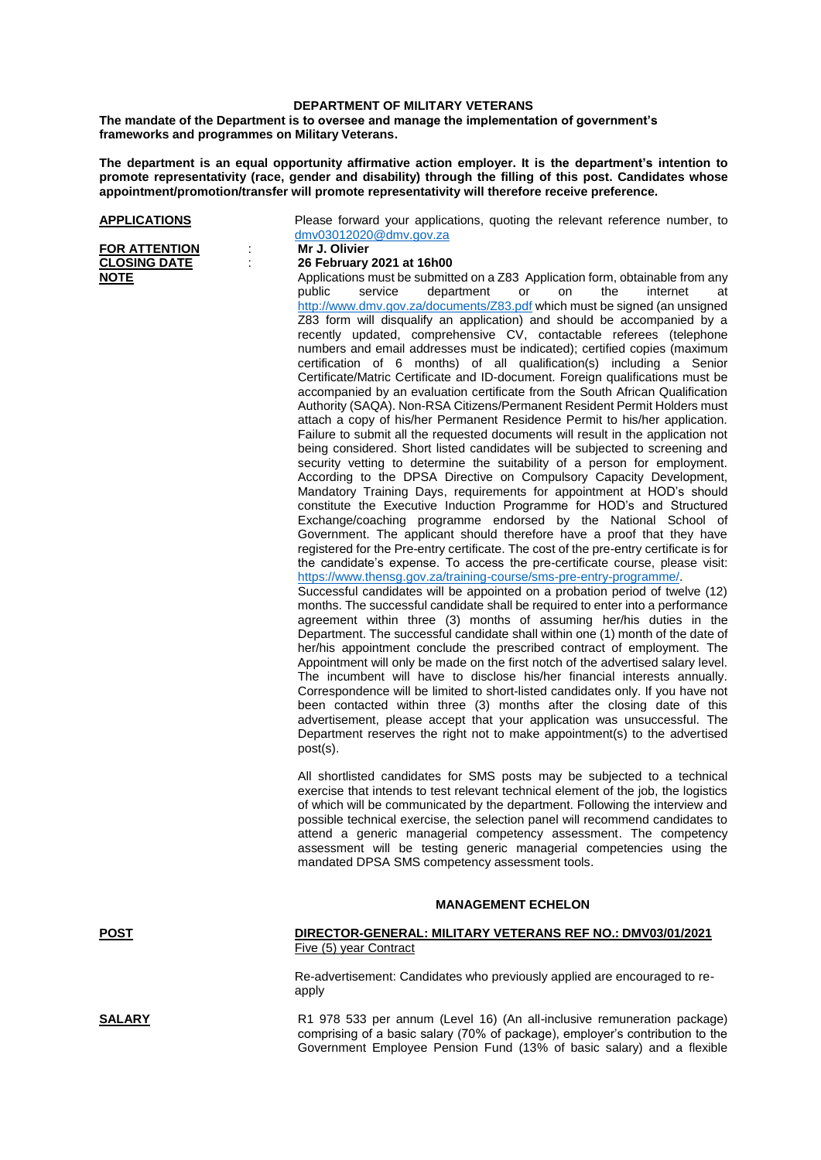## **DEPARTMENT OF MILITARY VETERANS**

**The mandate of the Department is to oversee and manage the implementation of government's frameworks and programmes on Military Veterans.**

**The department is an equal opportunity affirmative action employer. It is the department's intention to promote representativity (race, gender and disability) through the filling of this post. Candidates whose appointment/promotion/transfer will promote representativity will therefore receive preference.**

**FOR ATTENTION :<br>CLOSING DATE** :

Please forward your applications, quoting the relevant reference number, to dmv03012020@dmv.gov.za<br>Mr J. Olivier

## **CLOSING DATE** : **26 February 2021 at 16h00**

**NOTE** Applications must be submitted on a Z83 Application form, obtainable from any public service department or on the internet at <http://www.dmv.gov.za/documents/Z83.pdf> which must be signed (an unsigned Z83 form will disqualify an application) and should be accompanied by a recently updated, comprehensive CV, contactable referees (telephone numbers and email addresses must be indicated); certified copies (maximum certification of 6 months) of all qualification(s) including a Senior Certificate/Matric Certificate and ID-document. Foreign qualifications must be accompanied by an evaluation certificate from the South African Qualification Authority (SAQA). Non-RSA Citizens/Permanent Resident Permit Holders must attach a copy of his/her Permanent Residence Permit to his/her application. Failure to submit all the requested documents will result in the application not being considered. Short listed candidates will be subjected to screening and security vetting to determine the suitability of a person for employment. According to the DPSA Directive on Compulsory Capacity Development, Mandatory Training Days, requirements for appointment at HOD's should constitute the Executive Induction Programme for HOD's and Structured Exchange/coaching programme endorsed by the National School of Government. The applicant should therefore have a proof that they have registered for the Pre-entry certificate. The cost of the pre-entry certificate is for the candidate's expense. To access the pre-certificate course, please visit: [https://www.thensg.gov.za/training-course/sms-pre-entry-programme/.](https://www.thensg.gov.za/training-course/sms-pre-entry-programme/)

Successful candidates will be appointed on a probation period of twelve (12) months. The successful candidate shall be required to enter into a performance agreement within three (3) months of assuming her/his duties in the Department. The successful candidate shall within one (1) month of the date of her/his appointment conclude the prescribed contract of employment. The Appointment will only be made on the first notch of the advertised salary level. The incumbent will have to disclose his/her financial interests annually. Correspondence will be limited to short-listed candidates only. If you have not been contacted within three (3) months after the closing date of this advertisement, please accept that your application was unsuccessful. The Department reserves the right not to make appointment(s) to the advertised post(s).

All shortlisted candidates for SMS posts may be subjected to a technical exercise that intends to test relevant technical element of the job, the logistics of which will be communicated by the department. Following the interview and possible technical exercise, the selection panel will recommend candidates to attend a generic managerial competency assessment. The competency assessment will be testing generic managerial competencies using the mandated DPSA SMS competency assessment tools.

## **MANAGEMENT ECHELON**

**POST DIRECTOR-GENERAL: MILITARY VETERANS REF NO.: DMV03/01/2021** Five (5) year Contract

> Re-advertisement: Candidates who previously applied are encouraged to reapply

**SALARY** R1 978 533 per annum (Level 16) (An all-inclusive remuneration package) comprising of a basic salary (70% of package), employer's contribution to the Government Employee Pension Fund (13% of basic salary) and a flexible